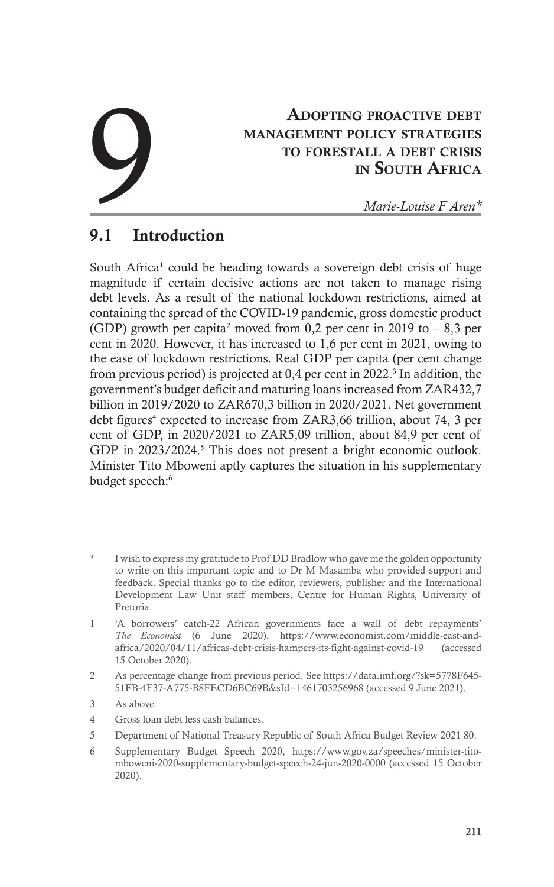# Adopting proactive debt management policy strategies to forestall a debt crisis in South Africa **ADOPTING PROACTIVE DEBT<br>
MANAGEMENT POLICY STRATEGIES<br>
TO FORESTALL A DEBT CRISIS<br>
IN SOUTH AFRICA<br>
Marie-Louise F Aren\***

# 9.1 Introduction

South Africa<sup>1</sup> could be heading towards a sovereign debt crisis of huge magnitude if certain decisive actions are not taken to manage rising debt levels. As a result of the national lockdown restrictions, aimed at containing the spread of the COVID-19 pandemic, gross domestic product (GDP) growth per capita<sup>2</sup> moved from 0,2 per cent in 2019 to  $-8,3$  per cent in 2020. However, it has increased to 1,6 per cent in 2021, owing to the ease of lockdown restrictions. Real GDP per capita (per cent change from previous period) is projected at  $0,4$  per cent in 2022.<sup>3</sup> In addition, the government's budget deficit and maturing loans increased from ZAR432,7 billion in 2019/2020 to ZAR670,3 billion in 2020/2021. Net government debt figures<sup>4</sup> expected to increase from ZAR3,66 trillion, about 74, 3 per cent of GDP, in 2020/2021 to ZAR5,09 trillion, about 84,9 per cent of GDP in 2023/2024.<sup>5</sup> This does not present a bright economic outlook. Minister Tito Mboweni aptly captures the situation in his supplementary budget speech:<sup>6</sup>

- I wish to express my gratitude to Prof DD Bradlow who gave me the golden opportunity to write on this important topic and to Dr M Masamba who provided support and feedback. Special thanks go to the editor, reviewers, publisher and the International Development Law Unit staff members, Centre for Human Rights, University of Pretoria.
- 1 'A borrowers' catch-22 African governments face a wall of debt repayments' *The Economist* (6 June 2020), https://www.economist.com/middle-east-andafrica/2020/04/11/africas-debt-crisis-hampers-its-fight-against-covid-19 (accessed 15 October 2020).
- 2 As percentage change from previous period. See https://data.imf.org/?sk=5778F645- 51FB-4F37-A775-B8FECD6BC69B&sId=1461703256968 (accessed 9 June 2021).
- 3 As above.
- 4 Gross loan debt less cash balances.
- 5 Department of National Treasury Republic of South Africa Budget Review 2021 80.
- 6 Supplementary Budget Speech 2020, https://www.gov.za/speeches/minister-titomboweni-2020-supplementary-budget-speech-24-jun-2020-0000 (accessed 15 October 2020).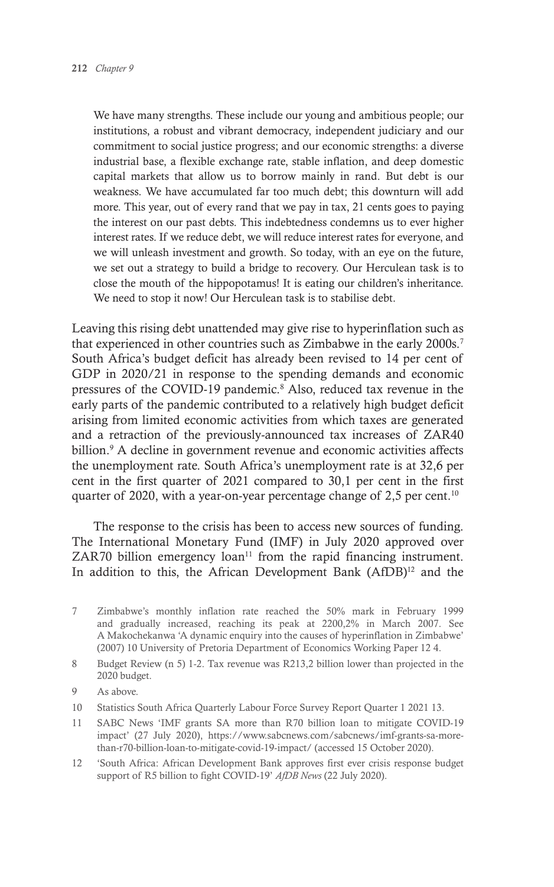We have many strengths. These include our young and ambitious people; our institutions, a robust and vibrant democracy, independent judiciary and our commitment to social justice progress; and our economic strengths: a diverse industrial base, a flexible exchange rate, stable inflation, and deep domestic capital markets that allow us to borrow mainly in rand. But debt is our weakness. We have accumulated far too much debt; this downturn will add more. This year, out of every rand that we pay in tax, 21 cents goes to paying the interest on our past debts. This indebtedness condemns us to ever higher interest rates. If we reduce debt, we will reduce interest rates for everyone, and we will unleash investment and growth. So today, with an eye on the future, we set out a strategy to build a bridge to recovery. Our Herculean task is to close the mouth of the hippopotamus! It is eating our children's inheritance. We need to stop it now! Our Herculean task is to stabilise debt.

Leaving this rising debt unattended may give rise to hyperinflation such as that experienced in other countries such as Zimbabwe in the early 2000s.<sup>7</sup> South Africa's budget deficit has already been revised to 14 per cent of GDP in 2020/21 in response to the spending demands and economic pressures of the COVID-19 pandemic.<sup>8</sup> Also, reduced tax revenue in the early parts of the pandemic contributed to a relatively high budget deficit arising from limited economic activities from which taxes are generated and a retraction of the previously-announced tax increases of ZAR40 billion.<sup>9</sup> A decline in government revenue and economic activities affects the unemployment rate. South Africa's unemployment rate is at 32,6 per cent in the first quarter of 2021 compared to 30,1 per cent in the first quarter of 2020, with a year-on-year percentage change of 2,5 per cent.<sup>10</sup>

The response to the crisis has been to access new sources of funding. The International Monetary Fund (IMF) in July 2020 approved over ZAR70 billion emergency loan<sup> $11$ </sup> from the rapid financing instrument. In addition to this, the African Development Bank (AfDB)<sup>12</sup> and the

- 7 Zimbabwe's monthly inflation rate reached the 50% mark in February 1999 and gradually increased, reaching its peak at 2200,2% in March 2007. See A Makochekanwa 'A dynamic enquiry into the causes of hyperinflation in Zimbabwe' (2007) 10 University of Pretoria Department of Economics Working Paper 12 4.
- 8 Budget Review (n 5) 1-2. Tax revenue was R213,2 billion lower than projected in the 2020 budget.
- 9 As above.
- 10 Statistics South Africa Quarterly Labour Force Survey Report Quarter 1 2021 13.
- 11 SABC News 'IMF grants SA more than R70 billion loan to mitigate COVID-19 impact' (27 July 2020), https://www.sabcnews.com/sabcnews/imf-grants-sa-morethan-r70-billion-loan-to-mitigate-covid-19-impact/ (accessed 15 October 2020).
- 12 'South Africa: African Development Bank approves first ever crisis response budget support of R5 billion to fight COVID-19' *AfDB News* (22 July 2020).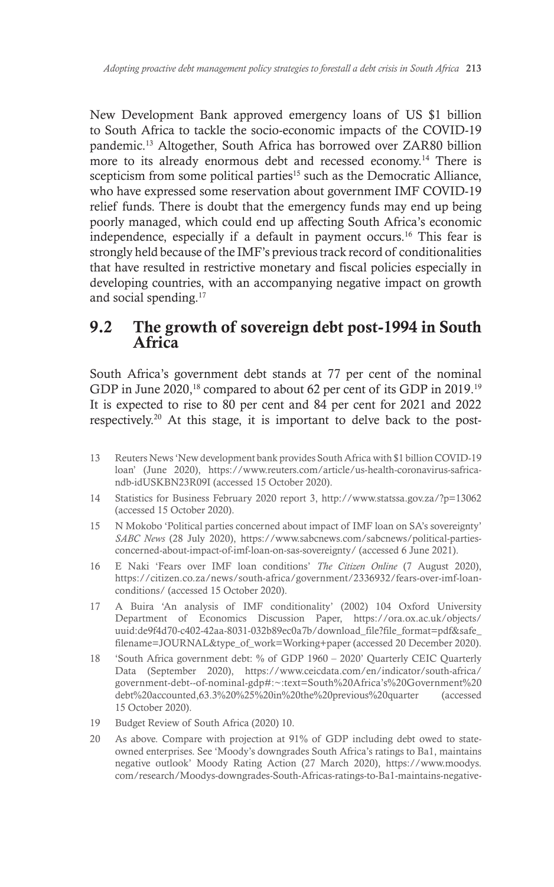New Development Bank approved emergency loans of US \$1 billion to South Africa to tackle the socio-economic impacts of the COVID-19 pandemic.13 Altogether, South Africa has borrowed over ZAR80 billion more to its already enormous debt and recessed economy.<sup>14</sup> There is scepticism from some political parties<sup>15</sup> such as the Democratic Alliance, who have expressed some reservation about government IMF COVID-19 relief funds. There is doubt that the emergency funds may end up being poorly managed, which could end up affecting South Africa's economic independence, especially if a default in payment occurs.16 This fear is strongly held because of the IMF's previous track record of conditionalities that have resulted in restrictive monetary and fiscal policies especially in developing countries, with an accompanying negative impact on growth and social spending.17

### 9.2 The growth of sovereign debt post-1994 in South **Africa**

South Africa's government debt stands at 77 per cent of the nominal GDP in June 2020,18 compared to about 62 per cent of its GDP in 2019.19 It is expected to rise to 80 per cent and 84 per cent for 2021 and 2022 respectively.20 At this stage, it is important to delve back to the post-

- 13 Reuters News 'New development bank provides South Africa with \$1 billion COVID-19 loan' (June 2020), https://www.reuters.com/article/us-health-coronavirus-safricandb-idUSKBN23R09I (accessed 15 October 2020).
- 14 Statistics for Business February 2020 report 3, http://www.statssa.gov.za/?p=13062 (accessed 15 October 2020).
- 15 N Mokobo 'Political parties concerned about impact of IMF loan on SA's sovereignty' *SABC News* (28 July 2020), https://www.sabcnews.com/sabcnews/political-partiesconcerned-about-impact-of-imf-loan-on-sas-sovereignty/ (accessed 6 June 2021).
- 16 E Naki 'Fears over IMF loan conditions' *The Citizen Online* (7 August 2020), https://citizen.co.za/news/south-africa/government/2336932/fears-over-imf-loanconditions/ (accessed 15 October 2020).
- 17 A Buira 'An analysis of IMF conditionality' (2002) 104 Oxford University Department of Economics Discussion Paper, https://ora.ox.ac.uk/objects/ uuid:de9f4d70-c402-42aa-8031-032b89ec0a7b/download\_file?file\_format=pdf&safe filename=JOURNAL&type\_of\_work=Working+paper (accessed 20 December 2020).
- 18 'South Africa government debt: % of GDP 1960 2020' Quarterly CEIC Quarterly Data (September 2020), https://www.ceicdata.com/en/indicator/south-africa/ government-debt--of-nominal-gdp#:~:text=South%20Africa's%20Government%20 debt%20accounted,63.3%20%25%20in%20the%20previous%20quarter (accessed 15 October 2020).
- 19 Budget Review of South Africa (2020) 10.
- 20 As above. Compare with projection at 91% of GDP including debt owed to stateowned enterprises. See 'Moody's downgrades South Africa's ratings to Ba1, maintains negative outlook' Moody Rating Action (27 March 2020), https://www.moodys. com/research/Moodys-downgrades-South-Africas-ratings-to-Ba1-maintains-negative-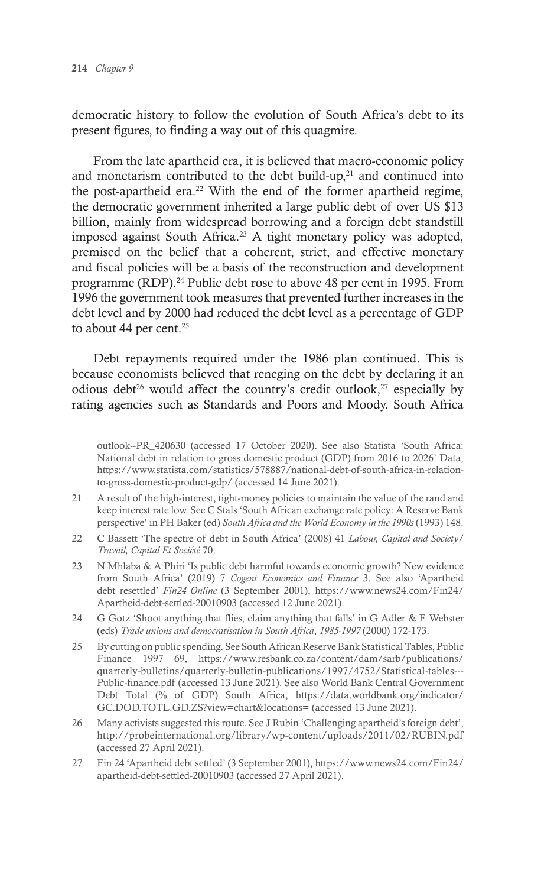democratic history to follow the evolution of South Africa's debt to its present figures, to finding a way out of this quagmire.

From the late apartheid era, it is believed that macro-economic policy and monetarism contributed to the debt build-up, $21$  and continued into the post-apartheid era.<sup>22</sup> With the end of the former apartheid regime, the democratic government inherited a large public debt of over US \$13 billion, mainly from widespread borrowing and a foreign debt standstill imposed against South Africa.<sup>23</sup> A tight monetary policy was adopted, premised on the belief that a coherent, strict, and effective monetary and fiscal policies will be a basis of the reconstruction and development programme (RDP).24 Public debt rose to above 48 per cent in 1995. From 1996 the government took measures that prevented further increases in the debt level and by 2000 had reduced the debt level as a percentage of GDP to about 44 per cent. $25$ 

Debt repayments required under the 1986 plan continued. This is because economists believed that reneging on the debt by declaring it an odious debt<sup>26</sup> would affect the country's credit outlook,<sup>27</sup> especially by rating agencies such as Standards and Poors and Moody. South Africa

outlook--PR\_420630 (accessed 17 October 2020). See also Statista 'South Africa: National debt in relation to gross domestic product (GDP) from 2016 to 2026' Data, https://www.statista.com/statistics/578887/national-debt-of-south-africa-in-relationto-gross-domestic-product-gdp/ (accessed 14 June 2021).

- 21 A result of the high-interest, tight-money policies to maintain the value of the rand and keep interest rate low. See C Stals 'South African exchange rate policy: A Reserve Bank perspective' in PH Baker (ed) *South Africa and the World Economy in the 1990s* (1993) 148.
- 22 C Bassett 'The spectre of debt in South Africa' (2008) 41 *Labour, Capital and Society/ Travail, Capital Et Société* 70.
- 23 N Mhlaba & A Phiri 'Is public debt harmful towards economic growth? New evidence from South Africa' (2019) 7 *Cogent Economics and Finance* 3. See also 'Apartheid debt resettled' *Fin24 Online* (3 September 2001), https://www.news24.com/Fin24/ Apartheid-debt-settled-20010903 (accessed 12 June 2021).
- 24 G Gotz 'Shoot anything that flies, claim anything that falls' in G Adler & E Webster (eds) *Trade unions and democratisation in South Africa*, *1985-1997* (2000) 172-173.
- 25 By cutting on public spending. See South African Reserve Bank Statistical Tables, Public Finance 1997 69, https://www.resbank.co.za/content/dam/sarb/publications/ quarterly-bulletins/quarterly-bulletin-publications/1997/4752/Statistical-tables--- Public-finance.pdf (accessed 13 June 2021). See also World Bank Central Government Debt Total (% of GDP) South Africa, https://data.worldbank.org/indicator/ GC.DOD.TOTL.GD.ZS?view=chart&locations= (accessed 13 June 2021).
- 26 Many activists suggested this route. See J Rubin 'Challenging apartheid's foreign debt', http://probeinternational.org/library/wp-content/uploads/2011/02/RUBIN.pdf (accessed 27 April 2021).
- 27 Fin 24 'Apartheid debt settled' (3 September 2001), https://www.news24.com/Fin24/ apartheid-debt-settled-20010903 (accessed 27 April 2021).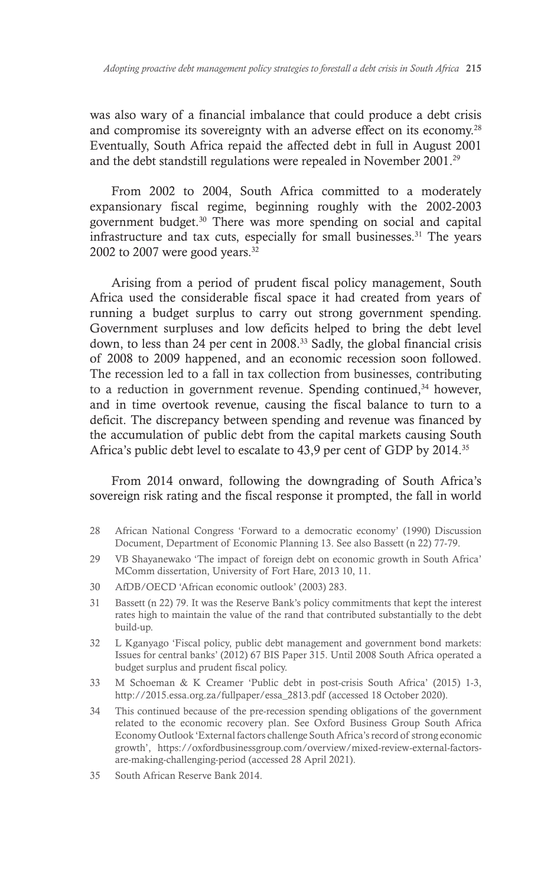was also wary of a financial imbalance that could produce a debt crisis and compromise its sovereignty with an adverse effect on its economy.28 Eventually, South Africa repaid the affected debt in full in August 2001 and the debt standstill regulations were repealed in November 2001.<sup>29</sup>

From 2002 to 2004, South Africa committed to a moderately expansionary fiscal regime, beginning roughly with the 2002-2003 government budget.30 There was more spending on social and capital infrastructure and tax cuts, especially for small businesses.<sup>31</sup> The years 2002 to 2007 were good years. $32$ 

Arising from a period of prudent fiscal policy management, South Africa used the considerable fiscal space it had created from years of running a budget surplus to carry out strong government spending. Government surpluses and low deficits helped to bring the debt level down, to less than 24 per cent in 2008.33 Sadly, the global financial crisis of 2008 to 2009 happened, and an economic recession soon followed. The recession led to a fall in tax collection from businesses, contributing to a reduction in government revenue. Spending continued, $34$  however, and in time overtook revenue, causing the fiscal balance to turn to a deficit. The discrepancy between spending and revenue was financed by the accumulation of public debt from the capital markets causing South Africa's public debt level to escalate to 43,9 per cent of GDP by 2014.35

From 2014 onward, following the downgrading of South Africa's sovereign risk rating and the fiscal response it prompted, the fall in world

- 28 African National Congress 'Forward to a democratic economy' (1990) Discussion Document, Department of Economic Planning 13. See also Bassett (n 22) 77-79.
- 29 VB Shayanewako 'The impact of foreign debt on economic growth in South Africa' MComm dissertation, University of Fort Hare, 2013 10, 11.
- 30 AfDB/OECD 'African economic outlook' (2003) 283.
- 31 Bassett (n 22) 79. It was the Reserve Bank's policy commitments that kept the interest rates high to maintain the value of the rand that contributed substantially to the debt build-up.
- 32 L Kganyago 'Fiscal policy, public debt management and government bond markets: Issues for central banks' (2012) 67 BIS Paper 315. Until 2008 South Africa operated a budget surplus and prudent fiscal policy.
- 33 M Schoeman & K Creamer 'Public debt in post-crisis South Africa' (2015) 1-3, http://2015.essa.org.za/fullpaper/essa\_2813.pdf (accessed 18 October 2020).
- 34 This continued because of the pre-recession spending obligations of the government related to the economic recovery plan. See Oxford Business Group South Africa Economy Outlook 'External factors challenge South Africa's record of strong economic growth', https://oxfordbusinessgroup.com/overview/mixed-review-external-factorsare-making-challenging-period (accessed 28 April 2021).
- 35 South African Reserve Bank 2014.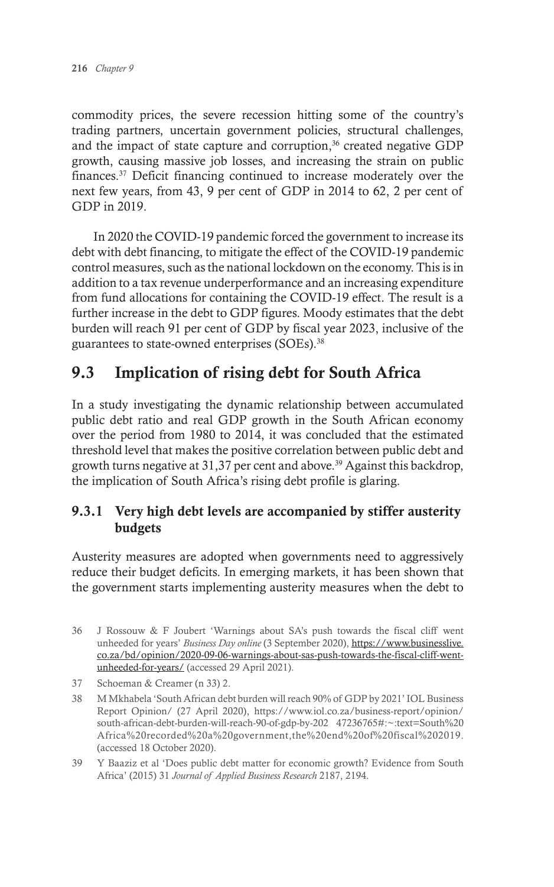commodity prices, the severe recession hitting some of the country's trading partners, uncertain government policies, structural challenges, and the impact of state capture and corruption,<sup>36</sup> created negative GDP growth, causing massive job losses, and increasing the strain on public finances.37 Deficit financing continued to increase moderately over the next few years, from 43, 9 per cent of GDP in 2014 to 62, 2 per cent of GDP in 2019.

In 2020 the COVID-19 pandemic forced the government to increase its debt with debt financing, to mitigate the effect of the COVID-19 pandemic control measures, such as the national lockdown on the economy. This is in addition to a tax revenue underperformance and an increasing expenditure from fund allocations for containing the COVID-19 effect. The result is a further increase in the debt to GDP figures. Moody estimates that the debt burden will reach 91 per cent of GDP by fiscal year 2023, inclusive of the guarantees to state-owned enterprises (SOEs).38

# 9.3 Implication of rising debt for South Africa

In a study investigating the dynamic relationship between accumulated public debt ratio and real GDP growth in the South African economy over the period from 1980 to 2014, it was concluded that the estimated threshold level that makes the positive correlation between public debt and growth turns negative at  $31,37$  per cent and above.<sup>39</sup> Against this backdrop, the implication of South Africa's rising debt profile is glaring.

#### 9.3.1 Very high debt levels are accompanied by stiffer austerity budgets

Austerity measures are adopted when governments need to aggressively reduce their budget deficits. In emerging markets, it has been shown that the government starts implementing austerity measures when the debt to

- 37 Schoeman & Creamer (n 33) 2.
- 38 M Mkhabela 'South African debt burden will reach 90% of GDP by 2021' IOL Business Report Opinion/ (27 April 2020), https://www.iol.co.za/business-report/opinion/ south-african-debt-burden-will-reach-90-of-gdp-by-202 47236765#:~:text=South%20 Africa%20recorded%20a%20government,the%20end%20of%20fiscal%202019. (accessed 18 October 2020).
- 39 Y Baaziz et al 'Does public debt matter for economic growth? Evidence from South Africa' (2015) 31 *Journal of Applied Business Research* 2187, 2194.

<sup>36</sup> J Rossouw & F Joubert 'Warnings about SA's push towards the fiscal cliff went unheeded for years' *Business Day online* (3 September 2020), *https://www.businesslive.* co.za/bd/opinion/2020-09-06-warnings-about-sas-push-towards-the-fiscal-cliff-wentunheeded-for-years/ (accessed 29 April 2021).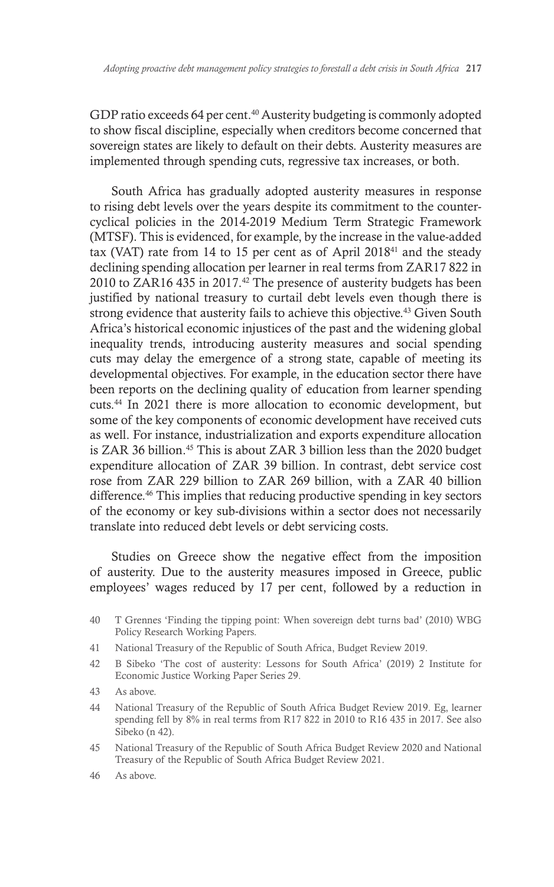GDP ratio exceeds 64 per cent.<sup>40</sup> Austerity budgeting is commonly adopted to show fiscal discipline, especially when creditors become concerned that sovereign states are likely to default on their debts. Austerity measures are implemented through spending cuts, regressive tax increases, or both.

South Africa has gradually adopted austerity measures in response to rising debt levels over the years despite its commitment to the countercyclical policies in the 2014-2019 Medium Term Strategic Framework (MTSF). This is evidenced, for example, by the increase in the value-added tax (VAT) rate from 14 to 15 per cent as of April 201841 and the steady declining spending allocation per learner in real terms from ZAR17 822 in 2010 to ZAR16 435 in 2017.<sup>42</sup> The presence of austerity budgets has been justified by national treasury to curtail debt levels even though there is strong evidence that austerity fails to achieve this objective.<sup>43</sup> Given South Africa's historical economic injustices of the past and the widening global inequality trends, introducing austerity measures and social spending cuts may delay the emergence of a strong state, capable of meeting its developmental objectives. For example, in the education sector there have been reports on the declining quality of education from learner spending cuts.44 In 2021 there is more allocation to economic development, but some of the key components of economic development have received cuts as well. For instance, industrialization and exports expenditure allocation is ZAR 36 billion.45 This is about ZAR 3 billion less than the 2020 budget expenditure allocation of ZAR 39 billion. In contrast, debt service cost rose from ZAR 229 billion to ZAR 269 billion, with a ZAR 40 billion difference.46 This implies that reducing productive spending in key sectors of the economy or key sub-divisions within a sector does not necessarily translate into reduced debt levels or debt servicing costs.

Studies on Greece show the negative effect from the imposition of austerity. Due to the austerity measures imposed in Greece, public employees' wages reduced by 17 per cent, followed by a reduction in

43 As above.

- 45 National Treasury of the Republic of South Africa Budget Review 2020 and National Treasury of the Republic of South Africa Budget Review 2021.
- 46 As above.

<sup>40</sup> T Grennes 'Finding the tipping point: When sovereign debt turns bad' (2010) WBG Policy Research Working Papers.

<sup>41</sup> National Treasury of the Republic of South Africa, Budget Review 2019.

<sup>42</sup> B Sibeko 'The cost of austerity: Lessons for South Africa' (2019) 2 Institute for Economic Justice Working Paper Series 29.

<sup>44</sup> National Treasury of the Republic of South Africa Budget Review 2019. Eg, learner spending fell by 8% in real terms from R17 822 in 2010 to R16 435 in 2017. See also Sibeko (n 42).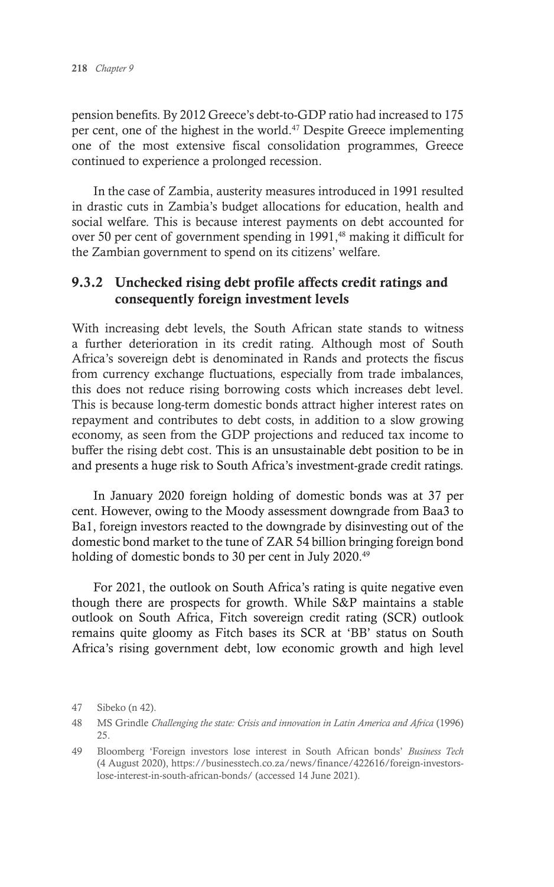pension benefits. By 2012 Greece's debt-to-GDP ratio had increased to 175 per cent, one of the highest in the world.47 Despite Greece implementing one of the most extensive fiscal consolidation programmes, Greece continued to experience a prolonged recession.

In the case of Zambia, austerity measures introduced in 1991 resulted in drastic cuts in Zambia's budget allocations for education, health and social welfare. This is because interest payments on debt accounted for over 50 per cent of government spending in 1991,<sup>48</sup> making it difficult for the Zambian government to spend on its citizens' welfare.

#### 9.3.2 Unchecked rising debt profile affects credit ratings and consequently foreign investment levels

With increasing debt levels, the South African state stands to witness a further deterioration in its credit rating. Although most of South Africa's sovereign debt is denominated in Rands and protects the fiscus from currency exchange fluctuations, especially from trade imbalances, this does not reduce rising borrowing costs which increases debt level. This is because long-term domestic bonds attract higher interest rates on repayment and contributes to debt costs, in addition to a slow growing economy, as seen from the GDP projections and reduced tax income to buffer the rising debt cost. This is an unsustainable debt position to be in and presents a huge risk to South Africa's investment-grade credit ratings.

In January 2020 foreign holding of domestic bonds was at 37 per cent. However, owing to the Moody assessment downgrade from Baa3 to Ba1, foreign investors reacted to the downgrade by disinvesting out of the domestic bond market to the tune of ZAR 54 billion bringing foreign bond holding of domestic bonds to 30 per cent in July 2020.<sup>49</sup>

For 2021, the outlook on South Africa's rating is quite negative even though there are prospects for growth. While S&P maintains a stable outlook on South Africa, Fitch sovereign credit rating (SCR) outlook remains quite gloomy as Fitch bases its SCR at 'BB' status on South Africa's rising government debt, low economic growth and high level

<sup>47</sup> Sibeko (n 42).

<sup>48</sup> MS Grindle *Challenging the state: Crisis and innovation in Latin America and Africa* (1996) 25.

<sup>49</sup> Bloomberg 'Foreign investors lose interest in South African bonds' *Business Tech* (4 August 2020), https://businesstech.co.za/news/finance/422616/foreign-investorslose-interest-in-south-african-bonds/ (accessed 14 June 2021).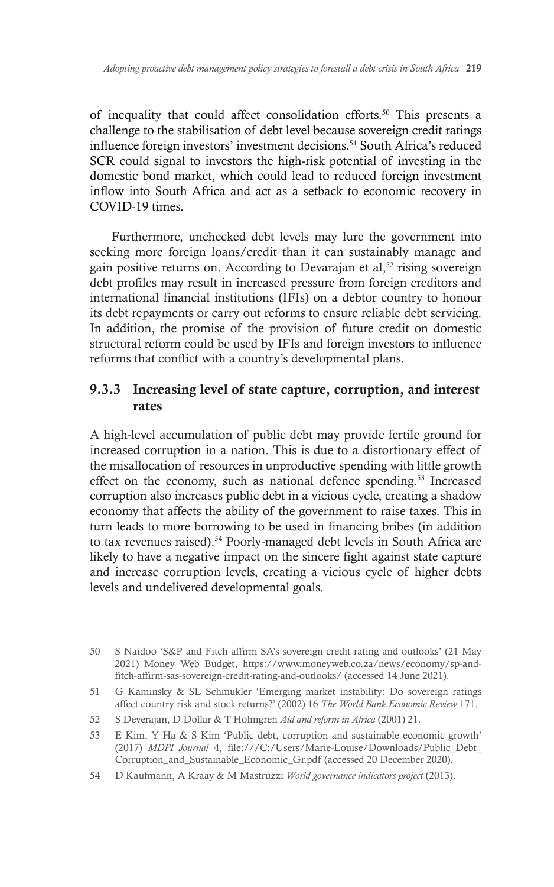of inequality that could affect consolidation efforts.50 This presents a challenge to the stabilisation of debt level because sovereign credit ratings influence foreign investors' investment decisions.51 South Africa's reduced SCR could signal to investors the high-risk potential of investing in the domestic bond market, which could lead to reduced foreign investment inflow into South Africa and act as a setback to economic recovery in COVID-19 times.

Furthermore, unchecked debt levels may lure the government into seeking more foreign loans/credit than it can sustainably manage and gain positive returns on. According to Devarajan et al,<sup>52</sup> rising sovereign debt profiles may result in increased pressure from foreign creditors and international financial institutions (IFIs) on a debtor country to honour its debt repayments or carry out reforms to ensure reliable debt servicing. In addition, the promise of the provision of future credit on domestic structural reform could be used by IFIs and foreign investors to influence reforms that conflict with a country's developmental plans.

#### 9.3.3 Increasing level of state capture, corruption, and interest rates

A high-level accumulation of public debt may provide fertile ground for increased corruption in a nation. This is due to a distortionary effect of the misallocation of resources in unproductive spending with little growth effect on the economy, such as national defence spending.<sup>53</sup> Increased corruption also increases public debt in a vicious cycle, creating a shadow economy that affects the ability of the government to raise taxes. This in turn leads to more borrowing to be used in financing bribes (in addition to tax revenues raised).<sup>54</sup> Poorly-managed debt levels in South Africa are likely to have a negative impact on the sincere fight against state capture and increase corruption levels, creating a vicious cycle of higher debts levels and undelivered developmental goals.

- 51 G Kaminsky & SL Schmukler 'Emerging market instability: Do sovereign ratings affect country risk and stock returns?' (2002) 16 *The World Bank Economic Review* 171.
- 52 S Deverajan, D Dollar & T Holmgren *Aid and reform in Africa* (2001) 21.
- 53 E Kim, Y Ha & S Kim 'Public debt, corruption and sustainable economic growth' (2017) *MDPI Journal* 4, file:///C:/Users/Marie-Louise/Downloads/Public\_Debt\_ Corruption\_and\_Sustainable\_Economic\_Gr.pdf (accessed 20 December 2020).
- 54 D Kaufmann, A Kraay & M Mastruzzi *World governance indicators project* (2013).

<sup>50</sup> S Naidoo 'S&P and Fitch affirm SA's sovereign credit rating and outlooks' (21 May 2021) Money Web Budget, https://www.moneyweb.co.za/news/economy/sp-andfitch-affirm-sas-sovereign-credit-rating-and-outlooks/ (accessed 14 June 2021).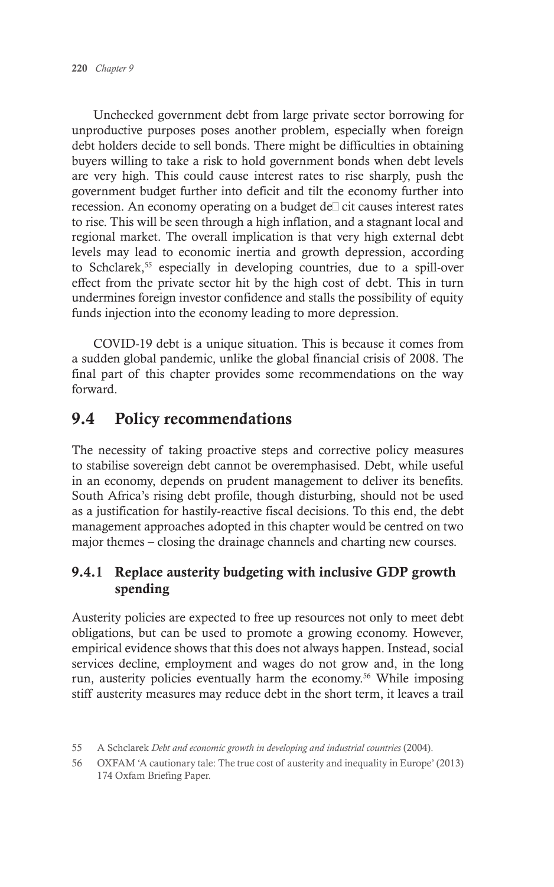Unchecked government debt from large private sector borrowing for unproductive purposes poses another problem, especially when foreign debt holders decide to sell bonds. There might be difficulties in obtaining buyers willing to take a risk to hold government bonds when debt levels are very high. This could cause interest rates to rise sharply, push the government budget further into deficit and tilt the economy further into recession. An economy operating on a budget de $\Box$  cit causes interest rates to rise. This will be seen through a high inflation, and a stagnant local and regional market. The overall implication is that very high external debt levels may lead to economic inertia and growth depression, according to Schclarek,55 especially in developing countries, due to a spill-over effect from the private sector hit by the high cost of debt. This in turn undermines foreign investor confidence and stalls the possibility of equity funds injection into the economy leading to more depression.

COVID-19 debt is a unique situation. This is because it comes from a sudden global pandemic, unlike the global financial crisis of 2008. The final part of this chapter provides some recommendations on the way forward.

# 9.4 Policy recommendations

The necessity of taking proactive steps and corrective policy measures to stabilise sovereign debt cannot be overemphasised. Debt, while useful in an economy, depends on prudent management to deliver its benefits. South Africa's rising debt profile, though disturbing, should not be used as a justification for hastily-reactive fiscal decisions. To this end, the debt management approaches adopted in this chapter would be centred on two major themes – closing the drainage channels and charting new courses.

#### 9.4.1 Replace austerity budgeting with inclusive GDP growth spending

Austerity policies are expected to free up resources not only to meet debt obligations, but can be used to promote a growing economy. However, empirical evidence shows that this does not always happen. Instead, social services decline, employment and wages do not grow and, in the long run, austerity policies eventually harm the economy.<sup>56</sup> While imposing stiff austerity measures may reduce debt in the short term, it leaves a trail

<sup>55</sup> A Schclarek *Debt and economic growth in developing and industrial countries* (2004).

<sup>56</sup> OXFAM 'A cautionary tale: The true cost of austerity and inequality in Europe' (2013) 174 Oxfam Briefing Paper.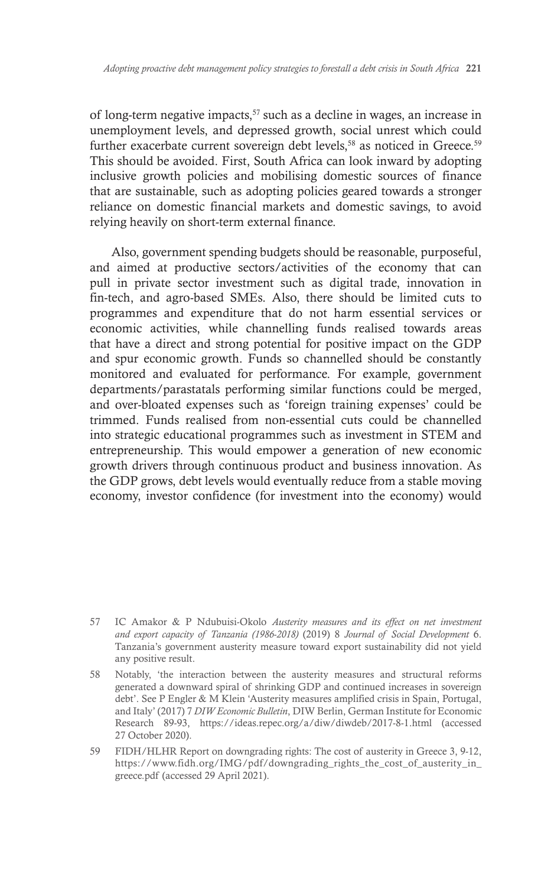of long-term negative impacts,  $57$  such as a decline in wages, an increase in unemployment levels, and depressed growth, social unrest which could further exacerbate current sovereign debt levels,<sup>58</sup> as noticed in Greece.<sup>59</sup> This should be avoided. First, South Africa can look inward by adopting inclusive growth policies and mobilising domestic sources of finance that are sustainable, such as adopting policies geared towards a stronger reliance on domestic financial markets and domestic savings, to avoid relying heavily on short-term external finance.

Also, government spending budgets should be reasonable, purposeful, and aimed at productive sectors/activities of the economy that can pull in private sector investment such as digital trade, innovation in fin-tech, and agro-based SMEs. Also, there should be limited cuts to programmes and expenditure that do not harm essential services or economic activities, while channelling funds realised towards areas that have a direct and strong potential for positive impact on the GDP and spur economic growth. Funds so channelled should be constantly monitored and evaluated for performance. For example, government departments/parastatals performing similar functions could be merged, and over-bloated expenses such as 'foreign training expenses' could be trimmed. Funds realised from non-essential cuts could be channelled into strategic educational programmes such as investment in STEM and entrepreneurship. This would empower a generation of new economic growth drivers through continuous product and business innovation. As the GDP grows, debt levels would eventually reduce from a stable moving economy, investor confidence (for investment into the economy) would

<sup>57</sup> IC Amakor & P Ndubuisi-Okolo *Austerity measures and its effect on net investment and export capacity of Tanzania (1986-2018)* (2019) 8 *Journal of Social Development* 6. Tanzania's government austerity measure toward export sustainability did not yield any positive result.

<sup>58</sup> Notably, 'the interaction between the austerity measures and structural reforms generated a downward spiral of shrinking GDP and continued increases in sovereign debt'. See P Engler & M Klein 'Austerity measures amplified crisis in Spain, Portugal, and Italy' (2017) 7 *DIW Economic Bulletin*, DIW Berlin, German Institute for Economic Research 89-93, https://ideas.repec.org/a/diw/diwdeb/2017-8-1.html (accessed 27 October 2020).

<sup>59</sup> FIDH/HLHR Report on downgrading rights: The cost of austerity in Greece 3, 9-12, https://www.fidh.org/IMG/pdf/downgrading\_rights\_the\_cost\_of\_austerity\_in\_ greece.pdf (accessed 29 April 2021).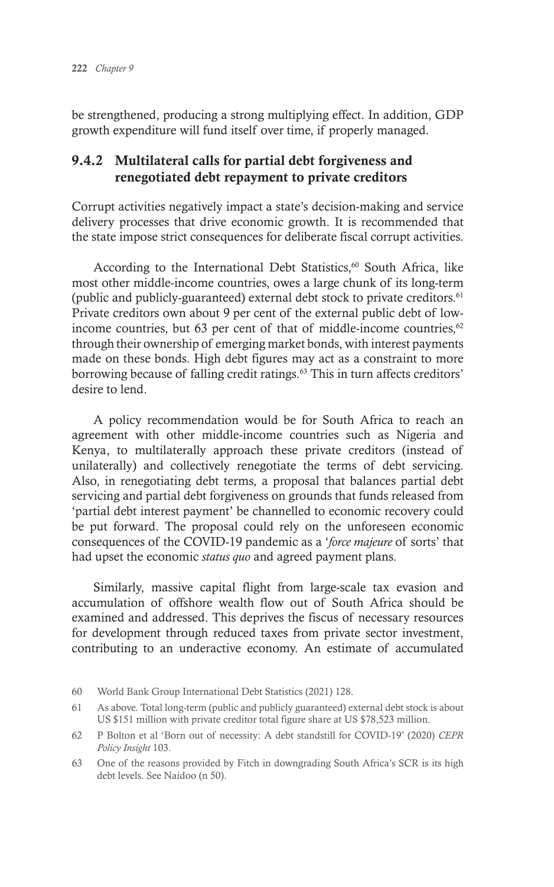be strengthened, producing a strong multiplying effect. In addition, GDP growth expenditure will fund itself over time, if properly managed.

#### 9.4.2 Multilateral calls for partial debt forgiveness and renegotiated debt repayment to private creditors

Corrupt activities negatively impact a state's decision-making and service delivery processes that drive economic growth. It is recommended that the state impose strict consequences for deliberate fiscal corrupt activities.

According to the International Debt Statistics,<sup>60</sup> South Africa, like most other middle-income countries, owes a large chunk of its long-term (public and publicly-guaranteed) external debt stock to private creditors. $61$ Private creditors own about 9 per cent of the external public debt of lowincome countries, but 63 per cent of that of middle-income countries, $62$ through their ownership of emerging market bonds, with interest payments made on these bonds. High debt figures may act as a constraint to more borrowing because of falling credit ratings.<sup>63</sup> This in turn affects creditors' desire to lend.

A policy recommendation would be for South Africa to reach an agreement with other middle-income countries such as Nigeria and Kenya, to multilaterally approach these private creditors (instead of unilaterally) and collectively renegotiate the terms of debt servicing. Also, in renegotiating debt terms, a proposal that balances partial debt servicing and partial debt forgiveness on grounds that funds released from 'partial debt interest payment' be channelled to economic recovery could be put forward. The proposal could rely on the unforeseen economic consequences of the COVID-19 pandemic as a '*force majeure* of sorts' that had upset the economic *status quo* and agreed payment plans.

Similarly, massive capital flight from large-scale tax evasion and accumulation of offshore wealth flow out of South Africa should be examined and addressed. This deprives the fiscus of necessary resources for development through reduced taxes from private sector investment, contributing to an underactive economy. An estimate of accumulated

<sup>60</sup> World Bank Group International Debt Statistics (2021) 128.

<sup>61</sup> As above. Total long-term (public and publicly guaranteed) external debt stock is about US \$151 million with private creditor total figure share at US \$78,523 million.

<sup>62</sup> P Bolton et al 'Born out of necessity: A debt standstill for COVID-19' (2020) *CEPR Policy Insight* 103.

<sup>63</sup> One of the reasons provided by Fitch in downgrading South Africa's SCR is its high debt levels. See Naidoo (n 50).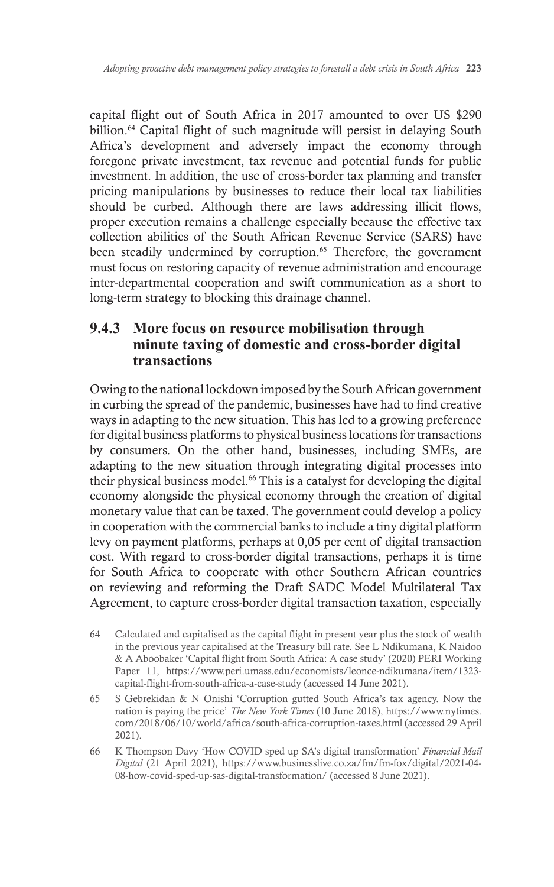capital flight out of South Africa in 2017 amounted to over US \$290 billion.<sup>64</sup> Capital flight of such magnitude will persist in delaying South Africa's development and adversely impact the economy through foregone private investment, tax revenue and potential funds for public investment. In addition, the use of cross-border tax planning and transfer pricing manipulations by businesses to reduce their local tax liabilities should be curbed. Although there are laws addressing illicit flows, proper execution remains a challenge especially because the effective tax collection abilities of the South African Revenue Service (SARS) have been steadily undermined by corruption.<sup>65</sup> Therefore, the government must focus on restoring capacity of revenue administration and encourage inter-departmental cooperation and swift communication as a short to long-term strategy to blocking this drainage channel.

#### **9.4.3 More focus on resource mobilisation through minute taxing of domestic and cross-border digital transactions**

Owing to the national lockdown imposed by the South African government in curbing the spread of the pandemic, businesses have had to find creative ways in adapting to the new situation. This has led to a growing preference for digital business platforms to physical business locations for transactions by consumers. On the other hand, businesses, including SMEs, are adapting to the new situation through integrating digital processes into their physical business model.<sup>66</sup> This is a catalyst for developing the digital economy alongside the physical economy through the creation of digital monetary value that can be taxed. The government could develop a policy in cooperation with the commercial banks to include a tiny digital platform levy on payment platforms, perhaps at 0,05 per cent of digital transaction cost. With regard to cross-border digital transactions, perhaps it is time for South Africa to cooperate with other Southern African countries on reviewing and reforming the Draft SADC Model Multilateral Tax Agreement, to capture cross-border digital transaction taxation, especially

- 64 Calculated and capitalised as the capital flight in present year plus the stock of wealth in the previous year capitalised at the Treasury bill rate. See L Ndikumana, K Naidoo & A Aboobaker 'Capital flight from South Africa: A case study' (2020) PERI Working Paper 11, https://www.peri.umass.edu/economists/leonce-ndikumana/item/1323 capital-flight-from-south-africa-a-case-study (accessed 14 June 2021).
- 65 S Gebrekidan & N Onishi 'Corruption gutted South Africa's tax agency. Now the nation is paying the price' *The New York Times* (10 June 2018), https://www.nytimes. com/2018/06/10/world/africa/south-africa-corruption-taxes.html (accessed 29 April 2021).
- 66 K Thompson Davy 'How COVID sped up SA's digital transformation' *Financial Mail Digital* (21 April 2021), https://www.businesslive.co.za/fm/fm-fox/digital/2021-04- 08-how-covid-sped-up-sas-digital-transformation/ (accessed 8 June 2021).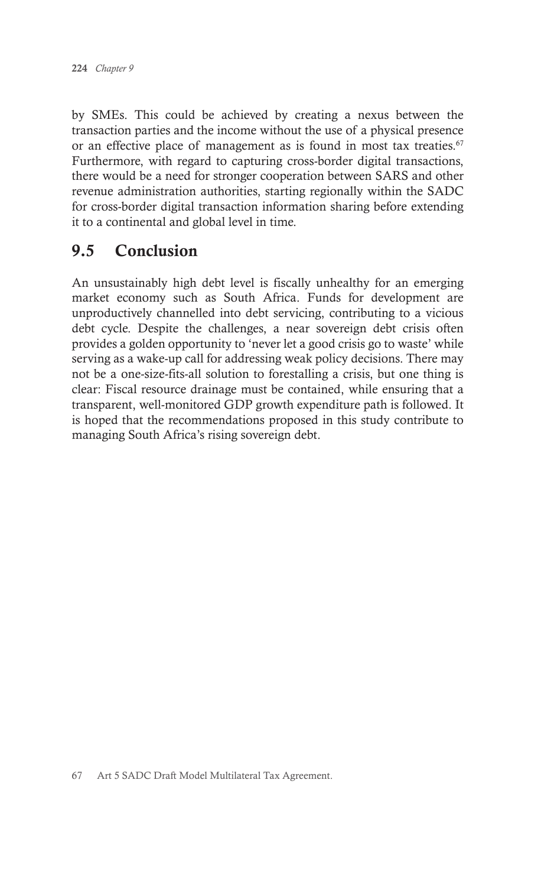by SMEs. This could be achieved by creating a nexus between the transaction parties and the income without the use of a physical presence or an effective place of management as is found in most tax treaties.<sup>67</sup> Furthermore, with regard to capturing cross-border digital transactions, there would be a need for stronger cooperation between SARS and other revenue administration authorities, starting regionally within the SADC for cross-border digital transaction information sharing before extending it to a continental and global level in time.

# 9.5 Conclusion

An unsustainably high debt level is fiscally unhealthy for an emerging market economy such as South Africa. Funds for development are unproductively channelled into debt servicing, contributing to a vicious debt cycle. Despite the challenges, a near sovereign debt crisis often provides a golden opportunity to 'never let a good crisis go to waste' while serving as a wake-up call for addressing weak policy decisions. There may not be a one-size-fits-all solution to forestalling a crisis, but one thing is clear: Fiscal resource drainage must be contained, while ensuring that a transparent, well-monitored GDP growth expenditure path is followed. It is hoped that the recommendations proposed in this study contribute to managing South Africa's rising sovereign debt.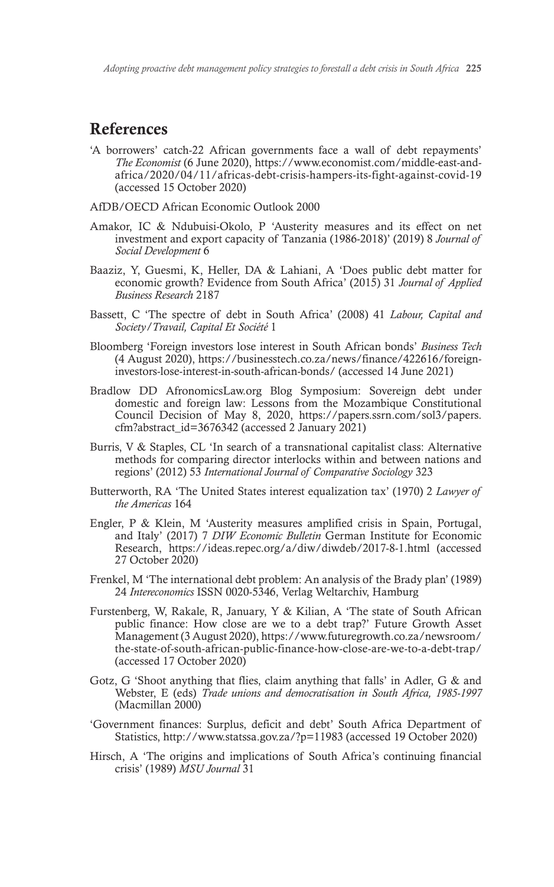### References

'A borrowers' catch-22 African governments face a wall of debt repayments' *The Economist* (6 June 2020), https://www.economist.com/middle-east-andafrica/2020/04/11/africas-debt-crisis-hampers-its-fight-against-covid-19 (accessed 15 October 2020)

AfDB/OECD African Economic Outlook 2000

- Amakor, IC & Ndubuisi-Okolo, P 'Austerity measures and its effect on net investment and export capacity of Tanzania (1986-2018)' (2019) 8 *Journal of Social Development* 6
- Baaziz, Y, Guesmi, K, Heller, DA & Lahiani, A 'Does public debt matter for economic growth? Evidence from South Africa' (2015) 31 *Journal of Applied Business Research* 2187
- Bassett, C 'The spectre of debt in South Africa' (2008) 41 *Labour, Capital and Society/Travail, Capital Et Société* 1
- Bloomberg 'Foreign investors lose interest in South African bonds' *Business Tech* (4 August 2020), https://businesstech.co.za/news/finance/422616/foreigninvestors-lose-interest-in-south-african-bonds/ (accessed 14 June 2021)
- Bradlow DD AfronomicsLaw.org Blog Symposium: Sovereign debt under domestic and foreign law: Lessons from the Mozambique Constitutional Council Decision of May 8, 2020, https://papers.ssrn.com/sol3/papers. cfm?abstract\_id=3676342 (accessed 2 January 2021)
- Burris, V & Staples, CL 'In search of a transnational capitalist class: Alternative methods for comparing director interlocks within and between nations and regions' (2012) 53 *International Journal of Comparative Sociology* 323
- Butterworth, RA 'The United States interest equalization tax' (1970) 2 *Lawyer of the Americas* 164
- Engler, P & Klein, M 'Austerity measures amplified crisis in Spain, Portugal, and Italy' (2017) 7 *DIW Economic Bulletin* German Institute for Economic Research, https://ideas.repec.org/a/diw/diwdeb/2017-8-1.html (accessed 27 October 2020)
- Frenkel, M 'The international debt problem: An analysis of the Brady plan' (1989) 24 *Intereconomics* ISSN 0020-5346, Verlag Weltarchiv, Hamburg
- Furstenberg, W, Rakale, R, January, Y & Kilian, A 'The state of South African public finance: How close are we to a debt trap?' Future Growth Asset Management (3 August 2020), https://www.futuregrowth.co.za/newsroom/ the-state-of-south-african-public-finance-how-close-are-we-to-a-debt-trap/ (accessed 17 October 2020)
- Gotz, G 'Shoot anything that flies, claim anything that falls' in Adler, G & and Webster, E (eds) *Trade unions and democratisation in South Africa, 1985-1997* (Macmillan 2000)
- 'Government finances: Surplus, deficit and debt' South Africa Department of Statistics, http://www.statssa.gov.za/?p=11983 (accessed 19 October 2020)
- Hirsch, A 'The origins and implications of South Africa's continuing financial crisis' (1989) *MSU Journal* 31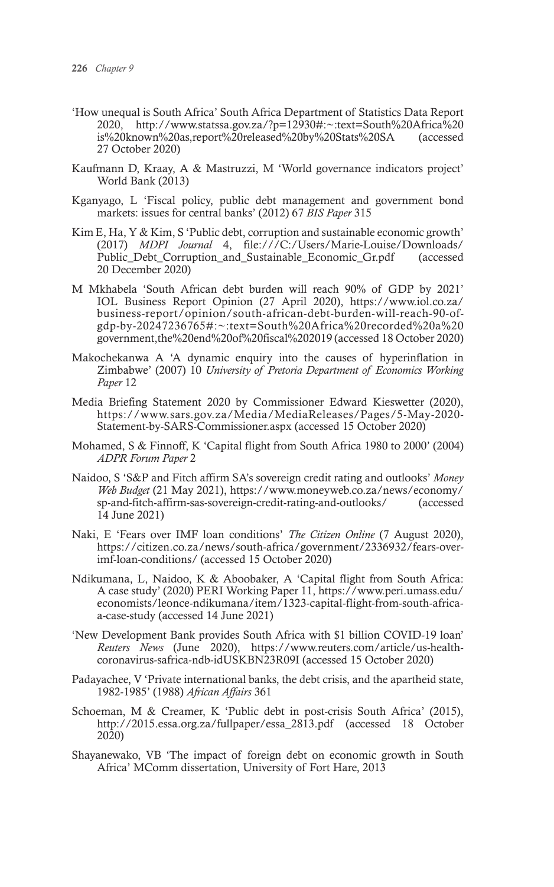- 'How unequal is South Africa' South Africa Department of Statistics Data Report 2020, http://www.statssa.gov.za/?p=12930#:~:text=South%20Africa%20 is%20known%20as,report%20released%20by%20Stats%20SA (accessed 27 October 2020)
- Kaufmann D, Kraay, A & Mastruzzi, M 'World governance indicators project' World Bank (2013)
- Kganyago, L 'Fiscal policy, public debt management and government bond markets: issues for central banks' (2012) 67 *BIS Paper* 315
- Kim E, Ha,  $Y \& K$ im, S 'Public debt, corruption and sustainable economic growth' (2017) *MDPI Journal* 4, file:///C:/Users/Marie-Louise/Downloads/ Public\_Debt\_Corruption\_and\_Sustainable\_Economic\_Gr.pdf 20 December 2020)
- M Mkhabela 'South African debt burden will reach 90% of GDP by 2021' IOL Business Report Opinion (27 April 2020), https://www.iol.co.za/ business-report/opinion/south-african-debt-burden-will-reach-90-ofgdp-by-20247236765#:~:text=South%20Africa%20recorded%20a%20 government,the%20end%20of%20fiscal%202019 (accessed 18 October 2020)
- Makochekanwa A 'A dynamic enquiry into the causes of hyperinflation in Zimbabwe' (2007) 10 *University of Pretoria Department of Economics Working Paper* 12
- Media Briefing Statement 2020 by Commissioner Edward Kieswetter (2020), https://www.sars.gov.za/Media/MediaReleases/Pages/5-May-2020- Statement-by-SARS-Commissioner.aspx (accessed 15 October 2020)
- Mohamed, S & Finnoff, K 'Capital flight from South Africa 1980 to 2000' (2004) *ADPR Forum Paper* 2
- Naidoo, S 'S&P and Fitch affirm SA's sovereign credit rating and outlooks' *Money Web Budget* (21 May 2021), https://www.moneyweb.co.za/news/economy/ sp-and-fitch-affirm-sas-sovereign-credit-rating-and-outlooks/ (accessed 14 June 2021)
- Naki, E 'Fears over IMF loan conditions' *The Citizen Online* (7 August 2020), https://citizen.co.za/news/south-africa/government/2336932/fears-overimf-loan-conditions/ (accessed 15 October 2020)
- Ndikumana, L, Naidoo, K & Aboobaker, A 'Capital flight from South Africa: A case study' (2020) PERI Working Paper 11, https://www.peri.umass.edu/ economists/leonce-ndikumana/item/1323-capital-flight-from-south-africaa-case-study (accessed 14 June 2021)
- 'New Development Bank provides South Africa with \$1 billion COVID-19 loan' *Reuters News* (June 2020), https://www.reuters.com/article/us-healthcoronavirus-safrica-ndb-idUSKBN23R09I (accessed 15 October 2020)
- Padayachee, V 'Private international banks, the debt crisis, and the apartheid state, 1982-1985' (1988) *African Affairs* 361
- Schoeman, M & Creamer, K 'Public debt in post-crisis South Africa' (2015), http://2015.essa.org.za/fullpaper/essa\_2813.pdf (accessed 18 October 2020)
- Shayanewako, VB 'The impact of foreign debt on economic growth in South Africa' MComm dissertation, University of Fort Hare, 2013